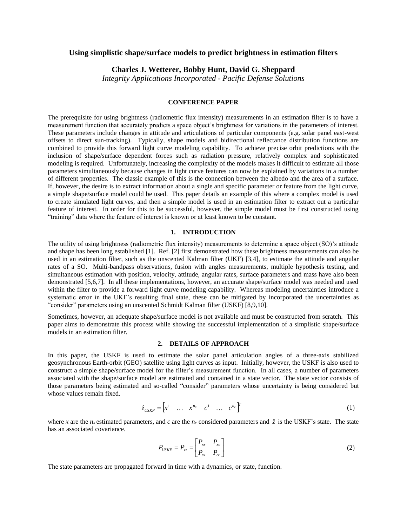# **Using simplistic shape/surface models to predict brightness in estimation filters**

**Charles J. Wetterer, Bobby Hunt, David G. Sheppard**

*Integrity Applications Incorporated - Pacific Defense Solutions*

# **CONFERENCE PAPER**

The prerequisite for using brightness (radiometric flux intensity) measurements in an estimation filter is to have a measurement function that accurately predicts a space object's brightness for variations in the parameters of interest. These parameters include changes in attitude and articulations of particular components (e.g. solar panel east-west offsets to direct sun-tracking). Typically, shape models and bidirectional reflectance distribution functions are combined to provide this forward light curve modeling capability. To achieve precise orbit predictions with the inclusion of shape/surface dependent forces such as radiation pressure, relatively complex and sophisticated modeling is required. Unfortunately, increasing the complexity of the models makes it difficult to estimate all those parameters simultaneously because changes in light curve features can now be explained by variations in a number of different properties. The classic example of this is the connection between the albedo and the area of a surface. If, however, the desire is to extract information about a single and specific parameter or feature from the light curve, a simple shape/surface model could be used. This paper details an example of this where a complex model is used to create simulated light curves, and then a simple model is used in an estimation filter to extract out a particular feature of interest. In order for this to be successful, however, the simple model must be first constructed using "training" data where the feature of interest is known or at least known to be constant.

# **1. INTRODUCTION**

The utility of using brightness (radiometric flux intensity) measurements to determine a space object (SO)'s attitude and shape has been long established [1]. Ref. [2] first demonstrated how these brightness measurements can also be used in an estimation filter, such as the unscented Kalman filter (UKF) [3,4], to estimate the attitude and angular rates of a SO. Multi-bandpass observations, fusion with angles measurements, multiple hypothesis testing, and simultaneous estimation with position, velocity, attitude, angular rates, surface parameters and mass have also been demonstrated [5,6,7]. In all these implementations, however, an accurate shape/surface model was needed and used within the filter to provide a forward light curve modeling capability. Whereas modeling uncertainties introduce a systematic error in the UKF's resulting final state, these can be mitigated by incorporated the uncertainties as "consider" parameters using an unscented Schmidt Kalman filter (USKF) [8,9,10].

Sometimes, however, an adequate shape/surface model is not available and must be constructed from scratch. This paper aims to demonstrate this process while showing the successful implementation of a simplistic shape/surface models in an estimation filter.

# **2. DETAILS OF APPROACH**

In this paper, the USKF is used to estimate the solar panel articulation angles of a three-axis stabilized geosynchronous Earth-orbit (GEO) satellite using light curves as input. Initially, however, the USKF is also used to construct a simple shape/surface model for the filter's measurement function. In all cases, a number of parameters associated with the shape/surface model are estimated and contained in a state vector. The state vector consists of those parameters being estimated and so-called "consider" parameters whose uncertainty is being considered but whose values remain fixed.

$$
\hat{z}_{\text{USKF}} = \begin{bmatrix} x^1 & \dots & x^{n_x} & c^1 & \dots & c^{n_c} \end{bmatrix}^T
$$
\n(1)

where *x* are the *n<sub>x</sub>* estimated parameters, and *c* are the *n<sub>c</sub>* considered parameters and  $\hat{z}$  is the USKF's state. The state has an associated covariance.

$$
P_{USKF} = P_{zz} = \begin{bmatrix} P_{xx} & P_{xz} \\ P_{cx} & P_{cc} \end{bmatrix} \tag{2}
$$

The state parameters are propagated forward in time with a dynamics, or state, function.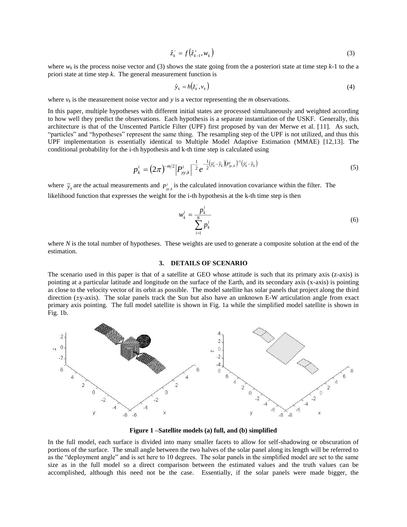$$
\hat{z}_k^- = f(\hat{z}_{k-1}^+, w_k) \tag{3}
$$

where  $w_k$  is the process noise vector and (3) shows the state going from the a posteriori state at time step  $k-1$  to the a priori state at time step *k*. The general measurement function is

$$
\hat{\mathbf{y}}_k = h(\hat{z}_k^-, \mathbf{v}_k) \tag{4}
$$

where  $v_k$  is the measurement noise vector and  $y$  is a vector representing the *m* observations.

In this paper, multiple hypotheses with different initial states are processed simultaneously and weighted according to how well they predict the observations. Each hypothesis is a separate instantiation of the USKF. Generally, this architecture is that of the Unscented Particle Filter (UPF) first proposed by van der Merwe et al. [11]. As such, "particles" and "hypotheses" represent the same thing. The resampling step of the UPF is not utilized, and thus this UPF implementation is essentially identical to Multiple Model Adaptive Estimation (MMAE) [12,13]. The conditional probability for the i-th hypothesis and k-th time step is calculated using

$$
p_k^i = (2\pi)^{-m/2} \left| P_{yy,k}^i \right|^{-\frac{1}{2}} e^{-\frac{1}{2} (\hat{y}_k^i - \tilde{y}_k) (p_{yy,k}^i)^{-1} (\hat{y}_k^i - \tilde{y}_k)}
$$
(5)

where  $\tilde{y}_k$  are the actual measurements and  $P_{y_k}^i$  is the calculated innovation covariance within the filter. The likelihood function that expresses the weight for the i-th hypothesis at the k-th time step is then

$$
w_k^i = \frac{p_k^i}{\sum_{i=1}^N p_k^i}
$$
 (6)

where *N* is the total number of hypotheses. These weights are used to generate a composite solution at the end of the estimation.

### **3. DETAILS OF SCENARIO**

The scenario used in this paper is that of a satellite at GEO whose attitude is such that its primary axis (z-axis) is pointing at a particular latitude and longitude on the surface of the Earth, and its secondary axis (x-axis) is pointing as close to the velocity vector of its orbit as possible. The model satellite has solar panels that project along the third direction  $(\pm y$ -axis). The solar panels track the Sun but also have an unknown E-W articulation angle from exact primary axis pointing. The full model satellite is shown in Fig. 1a while the simplified model satellite is shown in Fig. 1b.



**Figure 1 –Satellite models (a) full, and (b) simplified**

In the full model, each surface is divided into many smaller facets to allow for self-shadowing or obscuration of portions of the surface. The small angle between the two halves of the solar panel along its length will be referred to as the "deployment angle" and is set here to 10 degrees. The solar panels in the simplified model are set to the same size as in the full model so a direct comparison between the estimated values and the truth values can be accomplished, although this need not be the case. Essentially, if the solar panels were made bigger, the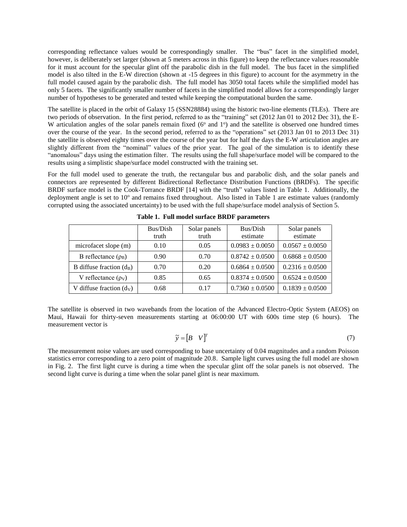corresponding reflectance values would be correspondingly smaller. The "bus" facet in the simplified model, however, is deliberately set larger (shown at 5 meters across in this figure) to keep the reflectance values reasonable for it must account for the specular glint off the parabolic dish in the full model. The bus facet in the simplified model is also tilted in the E-W direction (shown at -15 degrees in this figure) to account for the asymmetry in the full model caused again by the parabolic dish. The full model has 3050 total facets while the simplified model has only 5 facets. The significantly smaller number of facets in the simplified model allows for a correspondingly larger number of hypotheses to be generated and tested while keeping the computational burden the same.

The satellite is placed in the orbit of Galaxy 15 (SSN28884) using the historic two-line elements (TLEs). There are two periods of observation. In the first period, referred to as the "training" set (2012 Jan 01 to 2012 Dec 31), the E-W articulation angles of the solar panels remain fixed (6<sup>o</sup> and 1<sup>o</sup>) and the satellite is observed one hundred times over the course of the year. In the second period, referred to as the "operations" set (2013 Jan 01 to 2013 Dec 31) the satellite is observed eighty times over the course of the year but for half the days the E-W articulation angles are slightly different from the "nominal" values of the prior year. The goal of the simulation is to identify these "anomalous" days using the estimation filter. The results using the full shape/surface model will be compared to the results using a simplistic shape/surface model constructed with the training set.

For the full model used to generate the truth, the rectangular bus and parabolic dish, and the solar panels and connectors are represented by different Bidirectional Reflectance Distribution Functions (BRDFs). The specific BRDF surface model is the Cook-Torrance BRDF [14] with the "truth" values listed in Table 1. Additionally, the deployment angle is set to 10° and remains fixed throughout. Also listed in Table 1 are estimate values (randomly corrupted using the associated uncertainty) to be used with the full shape/surface model analysis of Section 5.

|                            | Bus/Dish<br>truth | Solar panels<br>truth | Bus/Dish<br>estimate | Solar panels<br>estimate |
|----------------------------|-------------------|-----------------------|----------------------|--------------------------|
| microfacet slope (m)       | 0.10              | 0.05                  | $0.0983 \pm 0.0050$  | $0.0567 \pm 0.0050$      |
| B reflectance $(\rho_B)$   | 0.90              | 0.70                  | $0.8742 \pm 0.0500$  | $0.6868 \pm 0.0500$      |
| B diffuse fraction $(d_B)$ | 0.70              | 0.20                  | $0.6864 \pm 0.0500$  | $0.2316 \pm 0.0500$      |
| V reflectance $(\rho_V)$   | 0.85              | 0.65                  | $0.8374 \pm 0.0500$  | $0.6524 \pm 0.0500$      |
| V diffuse fraction $(d_V)$ | 0.68              | 0.17                  | $0.7360 \pm 0.0500$  | $0.1839 \pm 0.0500$      |

**Table 1. Full model surface BRDF parameters**

The satellite is observed in two wavebands from the location of the Advanced Electro-Optic System (AEOS) on Maui, Hawaii for thirty-seven measurements starting at 06:00:00 UT with 600s time step (6 hours). The measurement vector is

$$
\widetilde{\mathbf{y}} = \begin{bmatrix} B & V \end{bmatrix}^T \tag{7}
$$

The measurement noise values are used corresponding to base uncertainty of 0.04 magnitudes and a random Poisson statistics error corresponding to a zero point of magnitude 20.8. Sample light curves using the full model are shown in Fig. 2. The first light curve is during a time when the specular glint off the solar panels is not observed. The second light curve is during a time when the solar panel glint is near maximum.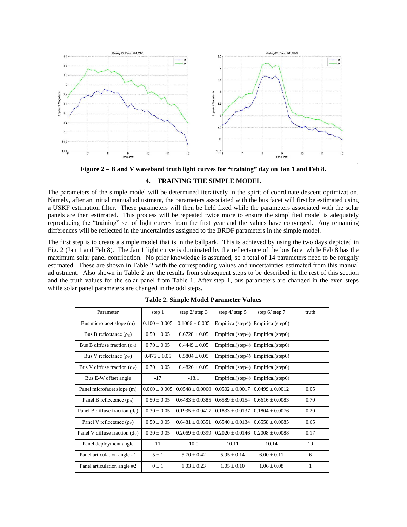

**Figure 2 – B and V waveband truth light curves for "training" day on Jan 1 and Feb 8.**

.

# **4. TRAINING THE SIMPLE MODEL**

The parameters of the simple model will be determined iteratively in the spirit of coordinate descent optimization. Namely, after an initial manual adjustment, the parameters associated with the bus facet will first be estimated using a USKF estimation filter. These parameters will then be held fixed while the parameters associated with the solar panels are then estimated. This process will be repeated twice more to ensure the simplified model is adequately reproducing the "training" set of light curves from the first year and the values have converged. Any remaining differences will be reflected in the uncertainties assigned to the BRDF parameters in the simple model.

The first step is to create a simple model that is in the ballpark. This is achieved by using the two days depicted in Fig. 2 (Jan 1 and Feb 8). The Jan 1 light curve is dominated by the reflectance of the bus facet while Feb 8 has the maximum solar panel contribution. No prior knowledge is assumed, so a total of 14 parameters need to be roughly estimated. These are shown in Table 2 with the corresponding values and uncertainties estimated from this manual adjustment. Also shown in Table 2 are the results from subsequent steps to be described in the rest of this section and the truth values for the solar panel from Table 1. After step 1, bus parameters are changed in the even steps while solar panel parameters are changed in the odd steps.

| Parameter                        | step 1            | step $2/$ step 3   | step $4/$ step 5    | step $6/$ step $7$ | truth |
|----------------------------------|-------------------|--------------------|---------------------|--------------------|-------|
| Bus microfacet slope (m)         | $0.100 \pm 0.005$ | $0.1066 \pm 0.005$ | Empirical(step4)    | Empirical(step6)   |       |
| Bus B reflectance $(\rho_B)$     | $0.50 \pm 0.05$   | $0.6728 + 0.05$    | Empirical(step4)    | Empirical(step6)   |       |
| Bus B diffuse fraction $(d_B)$   | $0.70 + 0.05$     | $0.4449 \pm 0.05$  | Empirical(step4)    | Empirical(step6)   |       |
| Bus V reflectance $(\rho_V)$     | $0.475 + 0.05$    | $0.5804 \pm 0.05$  | Empirical(step4)    | Empirical(step6)   |       |
| Bus V diffuse fraction $(d_v)$   | $0.70 + 0.05$     | $0.4826 \pm 0.05$  | Empirical(step4)    | Empirical(step6)   |       |
| Bus E-W offset angle             | $-17$             | $-18.1$            | Empirical(step4)    | Empirical(step6)   |       |
| Panel microfacet slope (m)       | $0.060 + 0.005$   | $0.0548 + 0.0060$  | $0.0502 + 0.0017$   | $0.0499 + 0.0012$  | 0.05  |
| Panel B reflectance $(\rho_B)$   | $0.50 + 0.05$     | $0.6483 + 0.0385$  | $0.6589 + 0.0154$   | $0.6616 + 0.0083$  | 0.70  |
| Panel B diffuse fraction $(d_B)$ | $0.30 + 0.05$     | $0.1935 + 0.0417$  | $0.1833 + 0.0137$   | $0.1804 + 0.0076$  | 0.20  |
| Panel V reflectance $(\rho_V)$   | $0.50 + 0.05$     | $0.6481 + 0.0351$  | $0.6540 \pm 0.0134$ | $0.6558 + 0.0085$  | 0.65  |
| Panel V diffuse fraction $(d_v)$ | $0.30 + 0.05$     | $0.2069 + 0.0399$  | $0.2020 + 0.0146$   | $0.2008 + 0.0088$  | 0.17  |
| Panel deployment angle           | 11                | 10.0               | 10.11               | 10.14              | 10    |
| Panel articulation angle #1      | $5 \pm 1$         | $5.70 + 0.42$      | $5.95 + 0.14$       | $6.00 + 0.11$      | 6     |
| Panel articulation angle #2      | $0 \pm 1$         | $1.03 + 0.23$      | $1.05 + 0.10$       | $1.06 + 0.08$      | 1     |

**Table 2. Simple Model Parameter Values**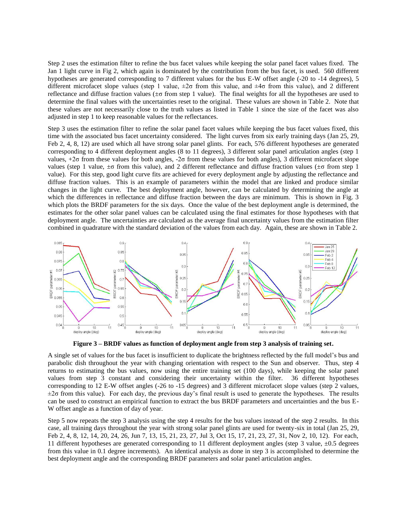Step 2 uses the estimation filter to refine the bus facet values while keeping the solar panel facet values fixed. The Jan 1 light curve in Fig 2, which again is dominated by the contribution from the bus facet, is used. 560 different hypotheses are generated corresponding to 7 different values for the bus E-W offset angle (-20 to -14 degrees), 5 different microfacet slope values (step 1 value, ±2σ from this value, and ±4σ from this value), and 2 different reflectance and diffuse fraction values (±σ from step 1 value). The final weights for all the hypotheses are used to determine the final values with the uncertainties reset to the original. These values are shown in Table 2. Note that these values are not necessarily close to the truth values as listed in Table 1 since the size of the facet was also adjusted in step 1 to keep reasonable values for the reflectances.

Step 3 uses the estimation filter to refine the solar panel facet values while keeping the bus facet values fixed, this time with the associated bus facet uncertainty considered. The light curves from six early training days (Jan 25, 29, Feb 2, 4, 8, 12) are used which all have strong solar panel glints. For each, 576 different hypotheses are generated corresponding to 4 different deployment angles (8 to 11 degrees), 3 different solar panel articulation angles (step 1 values, +2σ from these values for both angles, -2σ from these values for both angles), 3 different microfacet slope values (step 1 value,  $\pm \sigma$  from this value), and 2 different reflectance and diffuse fraction values ( $\pm \sigma$  from step 1 value). For this step, good light curve fits are achieved for every deployment angle by adjusting the reflectance and diffuse fraction values. This is an example of parameters within the model that are linked and produce similar changes in the light curve. The best deployment angle, however, can be calculated by determining the angle at which the differences in reflectance and diffuse fraction between the days are minimum. This is shown in Fig. 3 which plots the BRDF parameters for the six days. Once the value of the best deployment angle is determined, the estimates for the other solar panel values can be calculated using the final estimates for those hypotheses with that deployment angle. The uncertainties are calculated as the average final uncertainty values from the estimation filter combined in quadrature with the standard deviation of the values from each day. Again, these are shown in Table 2.



**Figure 3 – BRDF values as function of deployment angle from step 3 analysis of training set.**

A single set of values for the bus facet is insufficient to duplicate the brightness reflected by the full model's bus and parabolic dish throughout the year with changing orientation with respect to the Sun and observer. Thus, step 4 returns to estimating the bus values, now using the entire training set (100 days), while keeping the solar panel values from step 3 constant and considering their uncertainty within the filter. 36 different hypotheses corresponding to 12 E-W offset angles (-26 to -15 degrees) and 3 different microfacet slope values (step 2 values,  $\pm 2\sigma$  from this value). For each day, the previous day's final result is used to generate the hypotheses. The results can be used to construct an empirical function to extract the bus BRDF parameters and uncertainties and the bus E-W offset angle as a function of day of year.

Step 5 now repeats the step 3 analysis using the step 4 results for the bus values instead of the step 2 results. In this case, all training days throughout the year with strong solar panel glints are used for twenty-six in total (Jan 25, 29, Feb 2, 4, 8, 12, 14, 20, 24, 26, Jun 7, 13, 15, 21, 23, 27, Jul 3, Oct 15, 17, 21, 23, 27, 31, Nov 2, 10, 12). For each, 11 different hypotheses are generated corresponding to 11 different deployment angles (step 3 value,  $\pm 0.5$  degrees from this value in 0.1 degree increments). An identical analysis as done in step 3 is accomplished to determine the best deployment angle and the corresponding BRDF parameters and solar panel articulation angles.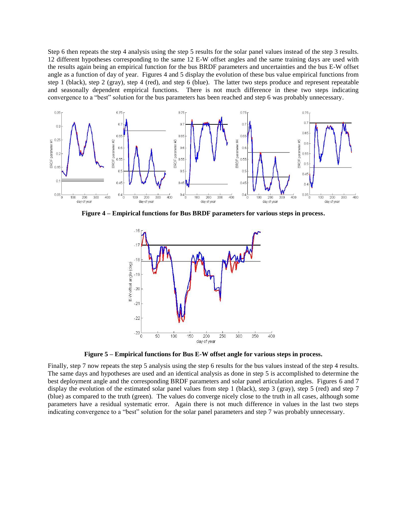Step 6 then repeats the step 4 analysis using the step 5 results for the solar panel values instead of the step 3 results. 12 different hypotheses corresponding to the same 12 E-W offset angles and the same training days are used with the results again being an empirical function for the bus BRDF parameters and uncertainties and the bus E-W offset angle as a function of day of year. Figures 4 and 5 display the evolution of these bus value empirical functions from step 1 (black), step 2 (gray), step 4 (red), and step 6 (blue). The latter two steps produce and represent repeatable and seasonally dependent empirical functions. There is not much difference in these two steps indicating convergence to a "best" solution for the bus parameters has been reached and step 6 was probably unnecessary.



**Figure 4 – Empirical functions for Bus BRDF parameters for various steps in process.**



**Figure 5 – Empirical functions for Bus E-W offset angle for various steps in process.**

Finally, step 7 now repeats the step 5 analysis using the step 6 results for the bus values instead of the step 4 results. The same days and hypotheses are used and an identical analysis as done in step 5 is accomplished to determine the best deployment angle and the corresponding BRDF parameters and solar panel articulation angles. Figures 6 and 7 display the evolution of the estimated solar panel values from step 1 (black), step 3 (gray), step 5 (red) and step 7 (blue) as compared to the truth (green). The values do converge nicely close to the truth in all cases, although some parameters have a residual systematic error. Again there is not much difference in values in the last two steps indicating convergence to a "best" solution for the solar panel parameters and step 7 was probably unnecessary.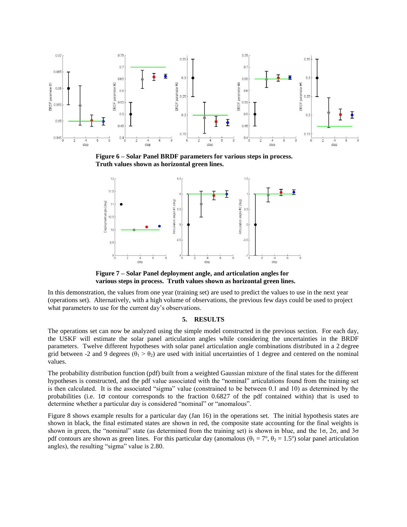

**Figure 6 – Solar Panel BRDF parameters for various steps in process. Truth values shown as horizontal green lines.**



**Figure 7 – Solar Panel deployment angle, and articulation angles for various steps in process. Truth values shown as horizontal green lines.**

In this demonstration, the values from one year (training set) are used to predict the values to use in the next year (operations set). Alternatively, with a high volume of observations, the previous few days could be used to project what parameters to use for the current day's observations.

#### **5. RESULTS**

The operations set can now be analyzed using the simple model constructed in the previous section. For each day, the USKF will estimate the solar panel articulation angles while considering the uncertainties in the BRDF parameters. Twelve different hypotheses with solar panel articulation angle combinations distributed in a 2 degree grid between -2 and 9 degrees ( $\theta_1 > \theta_2$ ) are used with initial uncertainties of 1 degree and centered on the nominal values.

The probability distribution function (pdf) built from a weighted Gaussian mixture of the final states for the different hypotheses is constructed, and the pdf value associated with the "nominal" articulations found from the training set is then calculated. It is the associated "sigma" value (constrained to be between 0.1 and 10) as determined by the probabilities (i.e. 1σ contour corresponds to the fraction 0.6827 of the pdf contained within) that is used to determine whether a particular day is considered "nominal" or "anomalous".

Figure 8 shows example results for a particular day (Jan 16) in the operations set. The initial hypothesis states are shown in black, the final estimated states are shown in red, the composite state accounting for the final weights is shown in green, the "nominal" state (as determined from the training set) is shown in blue, and the 1σ, 2σ, and 3σ pdf contours are shown as green lines. For this particular day (anomalous  $(\theta_1 = 7^\circ, \theta_2 = 1.5^\circ)$  solar panel articulation angles), the resulting "sigma" value is 2.80.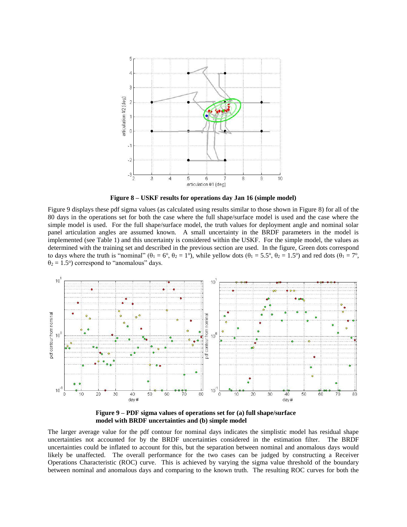

**Figure 8 – USKF results for operations day Jan 16 (simple model)**

Figure 9 displays these pdf sigma values (as calculated using results similar to those shown in Figure 8) for all of the 80 days in the operations set for both the case where the full shape/surface model is used and the case where the simple model is used. For the full shape/surface model, the truth values for deployment angle and nominal solar panel articulation angles are assumed known. A small uncertainty in the BRDF parameters in the model is implemented (see Table 1) and this uncertainty is considered within the USKF. For the simple model, the values as determined with the training set and described in the previous section are used. In the figure, Green dots correspond to days where the truth is "nominal" ( $\theta_1 = 6^\circ$ ,  $\theta_2 = 1^\circ$ ), while yellow dots ( $\theta_1 = 5.5^\circ$ ,  $\theta_2 = 1.5^\circ$ ) and red dots ( $\theta_1 = 7^\circ$ ,  $\theta_2 = 1.5^\circ$ ) correspond to "anomalous" days.



**Figure 9 – PDF sigma values of operations set for (a) full shape/surface model with BRDF uncertainties and (b) simple model**

The larger average value for the pdf contour for nominal days indicates the simplistic model has residual shape uncertainties not accounted for by the BRDF uncertainties considered in the estimation filter. The BRDF uncertainties could be inflated to account for this, but the separation between nominal and anomalous days would likely be unaffected. The overall performance for the two cases can be judged by constructing a Receiver Operations Characteristic (ROC) curve. This is achieved by varying the sigma value threshold of the boundary between nominal and anomalous days and comparing to the known truth. The resulting ROC curves for both the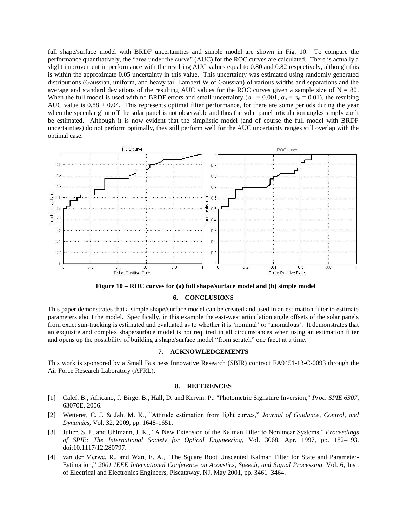full shape/surface model with BRDF uncertainties and simple model are shown in Fig. 10. To compare the performance quantitatively, the "area under the curve" (AUC) for the ROC curves are calculated. There is actually a slight improvement in performance with the resulting AUC values equal to 0.80 and 0.82 respectively, although this is within the approximate 0.05 uncertainty in this value. This uncertainty was estimated using randomly generated distributions (Gaussian, uniform, and heavy tail Lambert W of Gaussian) of various widths and separations and the average and standard deviations of the resulting AUC values for the ROC curves given a sample size of  $N = 80$ . When the full model is used with no BRDF errors and small uncertainty ( $\sigma_{\rm m} = 0.001$ ,  $\sigma_{\rm p} = \sigma_{\rm d} = 0.01$ ), the resulting AUC value is  $0.88 \pm 0.04$ . This represents optimal filter performance, for there are some periods during the year when the specular glint off the solar panel is not observable and thus the solar panel articulation angles simply can't be estimated. Although it is now evident that the simplistic model (and of course the full model with BRDF uncertainties) do not perform optimally, they still perform well for the AUC uncertainty ranges still overlap with the optimal case.



**Figure 10 – ROC curves for (a) full shape/surface model and (b) simple model**

#### **6. CONCLUSIONS**

This paper demonstrates that a simple shape/surface model can be created and used in an estimation filter to estimate parameters about the model. Specifically, in this example the east-west articulation angle offsets of the solar panels from exact sun-tracking is estimated and evaluated as to whether it is 'nominal' or 'anomalous'. It demonstrates that an exquisite and complex shape/surface model is not required in all circumstances when using an estimation filter and opens up the possibility of building a shape/surface model "from scratch" one facet at a time.

# **7. ACKNOWLEDGEMENTS**

This work is sponsored by a Small Business Innovative Research (SBIR) contract FA9451-13-C-0093 through the Air Force Research Laboratory (AFRL).

#### **8. REFERENCES**

- [1] Calef, B., Africano, J. Birge, B., Hall, D. and Kervin, P., "Photometric Signature Inversion," *Proc. SPIE 6307*, 63070E, 2006.
- [2] Wetterer, C. J. & Jah, M. K., "Attitude estimation from light curves," *Journal of Guidance, Control, and Dynamics*, Vol. 32, 2009, pp. 1648-1651.
- [3] Julier, S. J., and Uhlmann, J. K., "A New Extension of the Kalman Filter to Nonlinear Systems," *Proceedings of SPIE: The International Society for Optical Engineering*, Vol. 3068, Apr. 1997, pp. 182–193. doi:10.1117/12.280797.
- [4] van der Merwe, R., and Wan, E. A., "The Square Root Unscented Kalman Filter for State and Parameter-Estimation," *2001 IEEE International Conference on Acoustics, Speech, and Signal Processing*, Vol. 6, Inst. of Electrical and Electronics Engineers, Piscataway, NJ, May 2001, pp. 3461–3464.